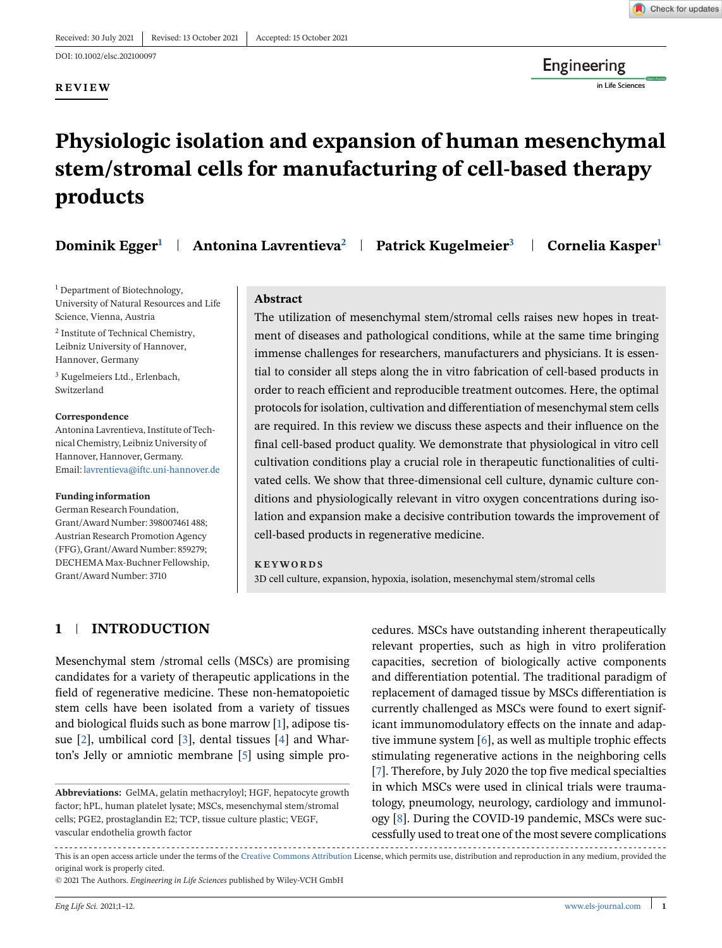#### **REVIEW**



Engineering

in Life Sciences

## **Physiologic isolation and expansion of human mesenchymal stem/stromal cells for manufacturing of cell-based therapy products**

| Dominik Egger <sup>1</sup> |  | Antonina Lavrentieva <sup>2</sup>   Patrick Kugelmeier <sup>3</sup> | Cornelia Kasper <sup>1</sup> |
|----------------------------|--|---------------------------------------------------------------------|------------------------------|
|----------------------------|--|---------------------------------------------------------------------|------------------------------|

<sup>1</sup> Department of Biotechnology, University of Natural Resources and Life Science, Vienna, Austria

<sup>2</sup> Institute of Technical Chemistry, Leibniz University of Hannover, Hannover, Germany

<sup>3</sup> Kugelmeiers Ltd., Erlenbach, Switzerland

#### **Correspondence**

Antonina Lavrentieva, Institute of Technical Chemistry, Leibniz University of Hannover, Hannover, Germany. Email: [lavrentieva@iftc.uni-hannover.de](mailto:lavrentieva@iftc.uni-hannover.de)

#### **Funding information**

German Research Foundation, Grant/Award Number: 398007461 488; Austrian Research Promotion Agency (FFG), Grant/Award Number: 859279; DECHEMA Max-Buchner Fellowship, Grant/Award Number: 3710

#### **Abstract**

The utilization of mesenchymal stem/stromal cells raises new hopes in treatment of diseases and pathological conditions, while at the same time bringing immense challenges for researchers, manufacturers and physicians. It is essential to consider all steps along the in vitro fabrication of cell-based products in order to reach efficient and reproducible treatment outcomes. Here, the optimal protocols for isolation, cultivation and differentiation of mesenchymal stem cells are required. In this review we discuss these aspects and their influence on the final cell-based product quality. We demonstrate that physiological in vitro cell cultivation conditions play a crucial role in therapeutic functionalities of cultivated cells. We show that three-dimensional cell culture, dynamic culture conditions and physiologically relevant in vitro oxygen concentrations during isolation and expansion make a decisive contribution towards the improvement of cell-based products in regenerative medicine.

#### **KEYWORDS**

3D cell culture, expansion, hypoxia, isolation, mesenchymal stem/stromal cells

### **1 INTRODUCTION**

Mesenchymal stem /stromal cells (MSCs) are promising candidates for a variety of therapeutic applications in the field of regenerative medicine. These non-hematopoietic stem cells have been isolated from a variety of tissues and biological fluids such as bone marrow [\[1\]](#page-9-0), adipose tissue  $[2]$ , umbilical cord  $[3]$ , dental tissues  $[4]$  and Wharton's Jelly or amniotic membrane [\[5\]](#page-9-0) using simple procedures. MSCs have outstanding inherent therapeutically relevant properties, such as high in vitro proliferation capacities, secretion of biologically active components and differentiation potential. The traditional paradigm of replacement of damaged tissue by MSCs differentiation is currently challenged as MSCs were found to exert significant immunomodulatory effects on the innate and adaptive immune system [\[6\]](#page-9-0), as well as multiple trophic effects stimulating regenerative actions in the neighboring cells [\[7\]](#page-9-0). Therefore, by July 2020 the top five medical specialties in which MSCs were used in clinical trials were traumatology, pneumology, neurology, cardiology and immunology [\[8\]](#page-9-0). During the COVID-19 pandemic, MSCs were successfully used to treat one of the most severe complications

This is an open access article under the terms of the [Creative Commons Attribution](http://creativecommons.org/licenses/by/4.0/) License, which permits use, distribution and reproduction in any medium, provided the original work is properly cited.

© 2021 The Authors. *Engineering in Life Sciences* published by Wiley-VCH GmbH

**Abbreviations:** GelMA, gelatin methacryloyl; HGF, hepatocyte growth factor; hPL, human platelet lysate; MSCs, mesenchymal stem/stromal cells; PGE2, prostaglandin E2; TCP, tissue culture plastic; VEGF, vascular endothelia growth factor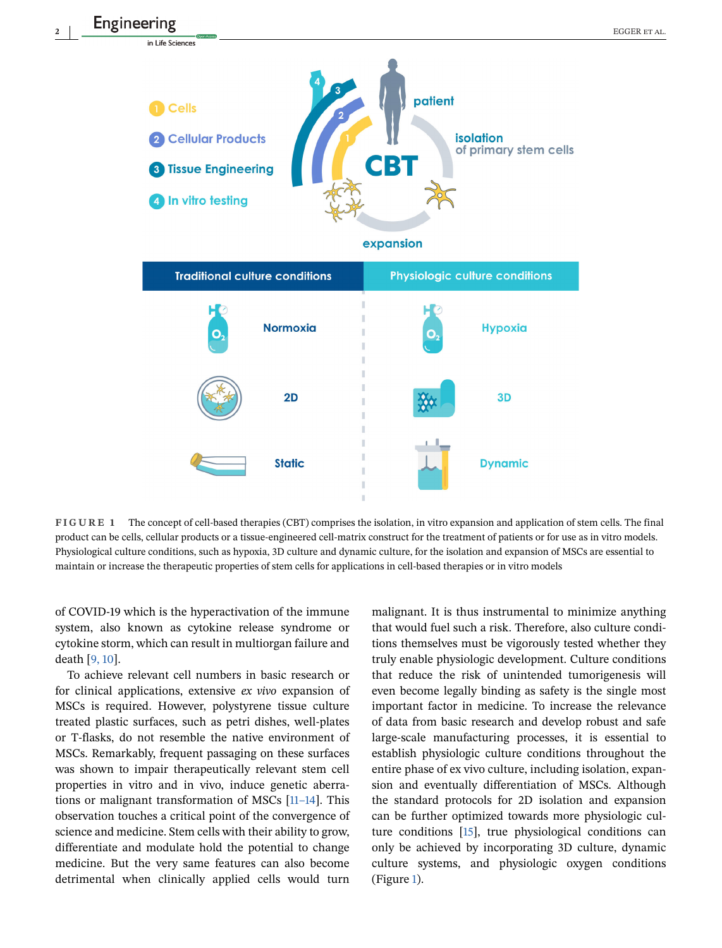

**FIGURE 1** The concept of cell-based therapies (CBT) comprises the isolation, in vitro expansion and application of stem cells. The final product can be cells, cellular products or a tissue-engineered cell-matrix construct for the treatment of patients or for use as in vitro models. Physiological culture conditions, such as hypoxia, 3D culture and dynamic culture, for the isolation and expansion of MSCs are essential to maintain or increase the therapeutic properties of stem cells for applications in cell-based therapies or in vitro models

of COVID-19 which is the hyperactivation of the immune system, also known as cytokine release syndrome or cytokine storm, which can result in multiorgan failure and death [\[9, 10\]](#page-9-0).

To achieve relevant cell numbers in basic research or for clinical applications, extensive *ex vivo* expansion of MSCs is required. However, polystyrene tissue culture treated plastic surfaces, such as petri dishes, well-plates or T-flasks, do not resemble the native environment of MSCs. Remarkably, frequent passaging on these surfaces was shown to impair therapeutically relevant stem cell properties in vitro and in vivo, induce genetic aberrations or malignant transformation of MSCs [\[11–14\]](#page-9-0). This observation touches a critical point of the convergence of science and medicine. Stem cells with their ability to grow, differentiate and modulate hold the potential to change medicine. But the very same features can also become detrimental when clinically applied cells would turn

malignant. It is thus instrumental to minimize anything that would fuel such a risk. Therefore, also culture conditions themselves must be vigorously tested whether they truly enable physiologic development. Culture conditions that reduce the risk of unintended tumorigenesis will even become legally binding as safety is the single most important factor in medicine. To increase the relevance of data from basic research and develop robust and safe large-scale manufacturing processes, it is essential to establish physiologic culture conditions throughout the entire phase of ex vivo culture, including isolation, expansion and eventually differentiation of MSCs. Although the standard protocols for 2D isolation and expansion can be further optimized towards more physiologic culture conditions [\[15\]](#page-9-0), true physiological conditions can only be achieved by incorporating 3D culture, dynamic culture systems, and physiologic oxygen conditions (Figure 1).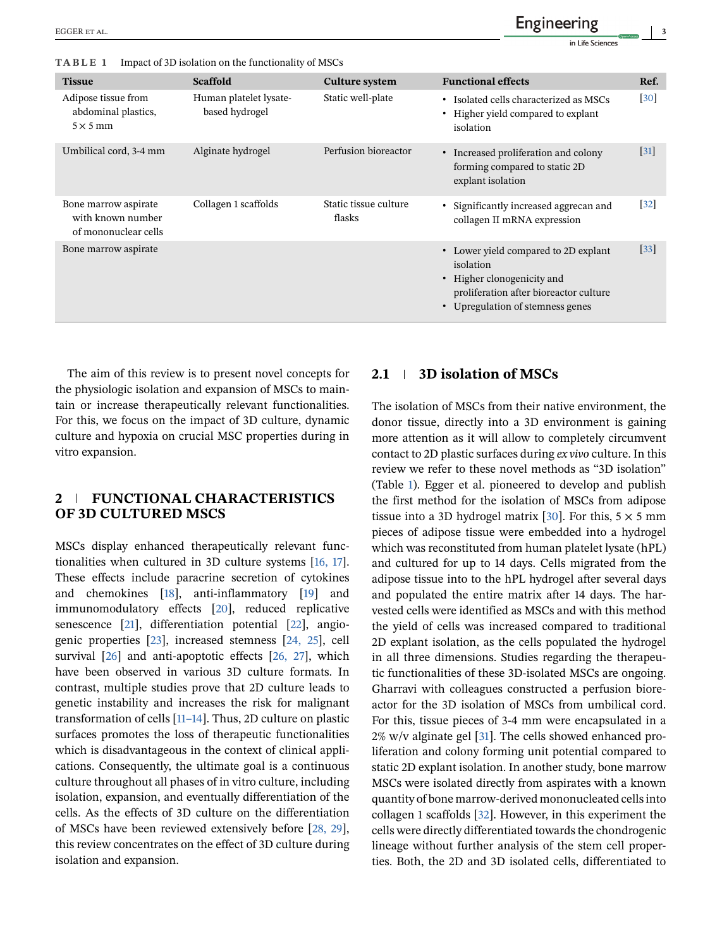**TABLE 1** Impact of 3D isolation on the functionality of MSCs

| <b>Tissue</b>                                                     | <b>Scaffold</b>                          | <b>Culture system</b>           | <b>Functional effects</b>                                                                                                                                     | Ref.   |
|-------------------------------------------------------------------|------------------------------------------|---------------------------------|---------------------------------------------------------------------------------------------------------------------------------------------------------------|--------|
| Adipose tissue from<br>abdominal plastics,<br>$5 \times 5$ mm     | Human platelet lysate-<br>based hydrogel | Static well-plate               | • Isolated cells characterized as MSCs<br>• Higher yield compared to explant<br>isolation                                                                     | $[30]$ |
| Umbilical cord, 3-4 mm                                            | Alginate hydrogel                        | Perfusion bioreactor            | • Increased proliferation and colony<br>forming compared to static 2D<br>explant isolation                                                                    | $[31]$ |
| Bone marrow aspirate<br>with known number<br>of mononuclear cells | Collagen 1 scaffolds                     | Static tissue culture<br>flasks | • Significantly increased aggrecan and<br>collagen II mRNA expression                                                                                         | $[32]$ |
| Bone marrow aspirate                                              |                                          |                                 | • Lower yield compared to 2D explant<br>isolation<br>• Higher clonogenicity and<br>proliferation after bioreactor culture<br>• Upregulation of stemness genes | $[33]$ |

The aim of this review is to present novel concepts for the physiologic isolation and expansion of MSCs to maintain or increase therapeutically relevant functionalities. For this, we focus on the impact of 3D culture, dynamic culture and hypoxia on crucial MSC properties during in vitro expansion.

### **2 FUNCTIONAL CHARACTERISTICS OF 3D CULTURED MSCS**

MSCs display enhanced therapeutically relevant functionalities when cultured in 3D culture systems [\[16, 17\]](#page-9-0). These effects include paracrine secretion of cytokines and chemokines [\[18\]](#page-9-0), anti-inflammatory [\[19\]](#page-9-0) and immunomodulatory effects [\[20\]](#page-9-0), reduced replicative senescence [\[21\]](#page-9-0), differentiation potential [\[22\]](#page-9-0), angiogenic properties [\[23\]](#page-9-0), increased stemness [\[24, 25\]](#page-9-0), cell survival [\[26\]](#page-9-0) and anti-apoptotic effects [\[26, 27\]](#page-9-0), which have been observed in various 3D culture formats. In contrast, multiple studies prove that 2D culture leads to genetic instability and increases the risk for malignant transformation of cells [\[11–14\]](#page-9-0). Thus, 2D culture on plastic surfaces promotes the loss of therapeutic functionalities which is disadvantageous in the context of clinical applications. Consequently, the ultimate goal is a continuous culture throughout all phases of in vitro culture, including isolation, expansion, and eventually differentiation of the cells. As the effects of 3D culture on the differentiation of MSCs have been reviewed extensively before [\[28, 29\]](#page-10-0), this review concentrates on the effect of 3D culture during isolation and expansion.

#### **2.1 3D isolation of MSCs**

The isolation of MSCs from their native environment, the donor tissue, directly into a 3D environment is gaining more attention as it will allow to completely circumvent contact to 2D plastic surfaces during *ex vivo* culture. In this review we refer to these novel methods as "3D isolation" (Table 1). Egger et al. pioneered to develop and publish the first method for the isolation of MSCs from adipose tissue into a 3D hydrogel matrix [\[30\]](#page-10-0). For this,  $5 \times 5$  mm pieces of adipose tissue were embedded into a hydrogel which was reconstituted from human platelet lysate (hPL) and cultured for up to 14 days. Cells migrated from the adipose tissue into to the hPL hydrogel after several days and populated the entire matrix after 14 days. The harvested cells were identified as MSCs and with this method the yield of cells was increased compared to traditional 2D explant isolation, as the cells populated the hydrogel in all three dimensions. Studies regarding the therapeutic functionalities of these 3D-isolated MSCs are ongoing. Gharravi with colleagues constructed a perfusion bioreactor for the 3D isolation of MSCs from umbilical cord. For this, tissue pieces of 3-4 mm were encapsulated in a  $2\%$  w/v alginate gel [\[31\]](#page-10-0). The cells showed enhanced proliferation and colony forming unit potential compared to static 2D explant isolation. In another study, bone marrow MSCs were isolated directly from aspirates with a known quantity of bone marrow-derived mononucleated cells into collagen 1 scaffolds [\[32\]](#page-10-0). However, in this experiment the cells were directly differentiated towards the chondrogenic lineage without further analysis of the stem cell properties. Both, the 2D and 3D isolated cells, differentiated to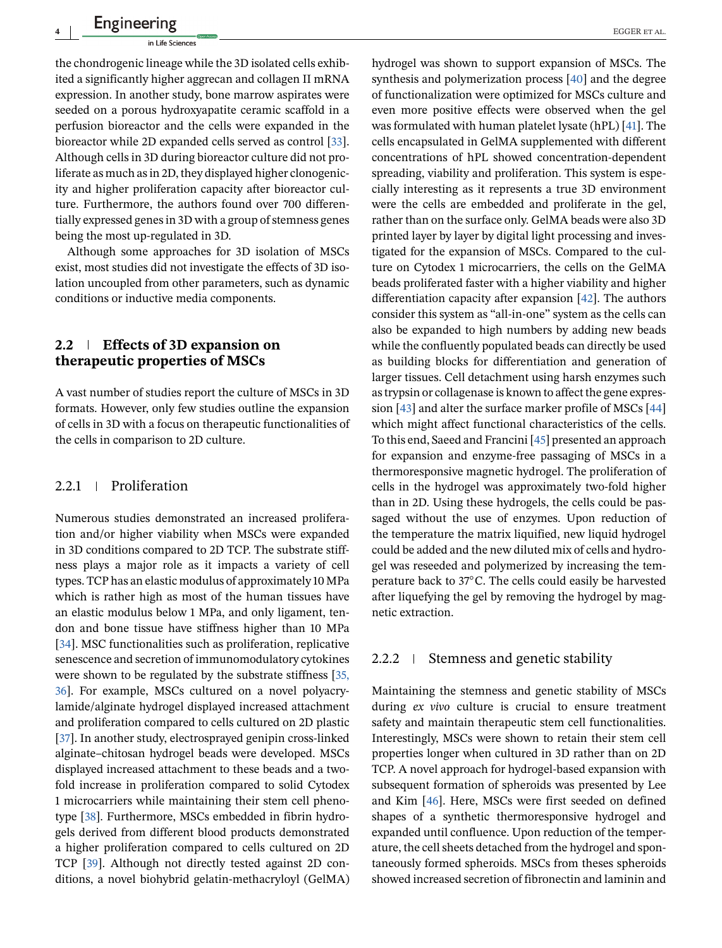the chondrogenic lineage while the 3D isolated cells exhibited a significantly higher aggrecan and collagen II mRNA expression. In another study, bone marrow aspirates were seeded on a porous hydroxyapatite ceramic scaffold in a perfusion bioreactor and the cells were expanded in the bioreactor while 2D expanded cells served as control [\[33\]](#page-10-0). Although cells in 3D during bioreactor culture did not proliferate as much as in 2D, they displayed higher clonogenicity and higher proliferation capacity after bioreactor culture. Furthermore, the authors found over 700 differentially expressed genes in 3D with a group of stemness genes being the most up-regulated in 3D.

Although some approaches for 3D isolation of MSCs exist, most studies did not investigate the effects of 3D isolation uncoupled from other parameters, such as dynamic conditions or inductive media components.

### **2.2 Effects of 3D expansion on therapeutic properties of MSCs**

A vast number of studies report the culture of MSCs in 3D formats. However, only few studies outline the expansion of cells in 3D with a focus on therapeutic functionalities of the cells in comparison to 2D culture.

### 2.2.1 | Proliferation

Numerous studies demonstrated an increased proliferation and/or higher viability when MSCs were expanded in 3D conditions compared to 2D TCP. The substrate stiffness plays a major role as it impacts a variety of cell types. TCP has an elastic modulus of approximately 10 MPa which is rather high as most of the human tissues have an elastic modulus below 1 MPa, and only ligament, tendon and bone tissue have stiffness higher than 10 MPa [\[34\]](#page-10-0). MSC functionalities such as proliferation, replicative senescence and secretion of immunomodulatory cytokines were shown to be regulated by the substrate stiffness [\[35,](#page-10-0) [36\]](#page-10-0). For example, MSCs cultured on a novel polyacrylamide/alginate hydrogel displayed increased attachment and proliferation compared to cells cultured on 2D plastic [\[37\]](#page-10-0). In another study, electrosprayed genipin cross-linked alginate–chitosan hydrogel beads were developed. MSCs displayed increased attachment to these beads and a twofold increase in proliferation compared to solid Cytodex 1 microcarriers while maintaining their stem cell phenotype [\[38\]](#page-10-0). Furthermore, MSCs embedded in fibrin hydrogels derived from different blood products demonstrated a higher proliferation compared to cells cultured on 2D TCP [\[39\]](#page-10-0). Although not directly tested against 2D conditions, a novel biohybrid gelatin-methacryloyl (GelMA) hydrogel was shown to support expansion of MSCs. The synthesis and polymerization process [\[40\]](#page-10-0) and the degree of functionalization were optimized for MSCs culture and even more positive effects were observed when the gel was formulated with human platelet lysate (hPL) [\[41\]](#page-10-0). The cells encapsulated in GelMA supplemented with different concentrations of hPL showed concentration-dependent spreading, viability and proliferation. This system is especially interesting as it represents a true 3D environment were the cells are embedded and proliferate in the gel, rather than on the surface only. GelMA beads were also 3D printed layer by layer by digital light processing and investigated for the expansion of MSCs. Compared to the culture on Cytodex 1 microcarriers, the cells on the GelMA beads proliferated faster with a higher viability and higher differentiation capacity after expansion [\[42\]](#page-10-0). The authors consider this system as "all-in-one" system as the cells can also be expanded to high numbers by adding new beads while the confluently populated beads can directly be used as building blocks for differentiation and generation of larger tissues. Cell detachment using harsh enzymes such as trypsin or collagenase is known to affect the gene expression [\[43\]](#page-10-0) and alter the surface marker profile of MSCs [\[44\]](#page-10-0) which might affect functional characteristics of the cells. To this end, Saeed and Francini [\[45\]](#page-10-0) presented an approach for expansion and enzyme-free passaging of MSCs in a thermoresponsive magnetic hydrogel. The proliferation of cells in the hydrogel was approximately two-fold higher than in 2D. Using these hydrogels, the cells could be passaged without the use of enzymes. Upon reduction of the temperature the matrix liquified, new liquid hydrogel could be added and the new diluted mix of cells and hydrogel was reseeded and polymerized by increasing the temperature back to 37◦C. The cells could easily be harvested after liquefying the gel by removing the hydrogel by magnetic extraction.

#### $2.2.2$  Stemness and genetic stability

Maintaining the stemness and genetic stability of MSCs during *ex vivo* culture is crucial to ensure treatment safety and maintain therapeutic stem cell functionalities. Interestingly, MSCs were shown to retain their stem cell properties longer when cultured in 3D rather than on 2D TCP. A novel approach for hydrogel-based expansion with subsequent formation of spheroids was presented by Lee and Kim [\[46\]](#page-10-0). Here, MSCs were first seeded on defined shapes of a synthetic thermoresponsive hydrogel and expanded until confluence. Upon reduction of the temperature, the cell sheets detached from the hydrogel and spontaneously formed spheroids. MSCs from theses spheroids showed increased secretion of fibronectin and laminin and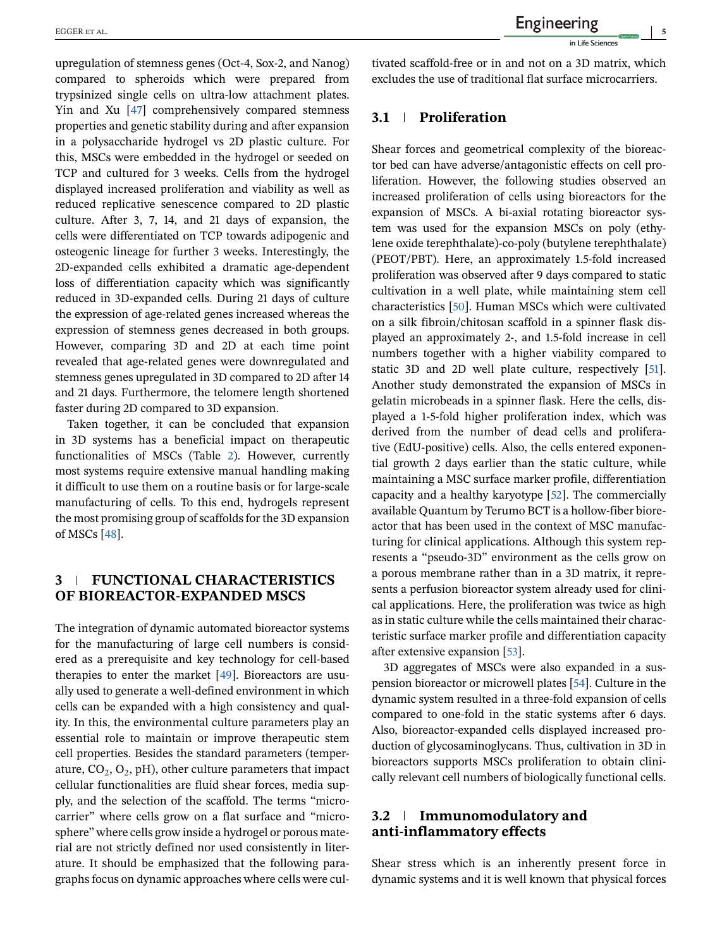upregulation of stemness genes (Oct-4, Sox-2, and Nanog) compared to spheroids which were prepared from trypsinized single cells on ultra-low attachment plates. Yin and Xu [\[47\]](#page-10-0) comprehensively compared stemness properties and genetic stability during and after expansion in a polysaccharide hydrogel vs 2D plastic culture. For this, MSCs were embedded in the hydrogel or seeded on TCP and cultured for 3 weeks. Cells from the hydrogel displayed increased proliferation and viability as well as reduced replicative senescence compared to 2D plastic culture. After 3, 7, 14, and 21 days of expansion, the cells were differentiated on TCP towards adipogenic and osteogenic lineage for further 3 weeks. Interestingly, the 2D-expanded cells exhibited a dramatic age-dependent loss of differentiation capacity which was significantly reduced in 3D-expanded cells. During 21 days of culture the expression of age-related genes increased whereas the expression of stemness genes decreased in both groups. However, comparing 3D and 2D at each time point revealed that age-related genes were downregulated and stemness genes upregulated in 3D compared to 2D after 14 and 21 days. Furthermore, the telomere length shortened faster during 2D compared to 3D expansion.

Taken together, it can be concluded that expansion in 3D systems has a beneficial impact on therapeutic functionalities of MSCs (Table [2\)](#page-5-0). However, currently most systems require extensive manual handling making it difficult to use them on a routine basis or for large-scale manufacturing of cells. To this end, hydrogels represent the most promising group of scaffolds for the 3D expansion of MSCs [\[48\]](#page-10-0).

## **3 FUNCTIONAL CHARACTERISTICS OF BIOREACTOR-EXPANDED MSCS**

The integration of dynamic automated bioreactor systems for the manufacturing of large cell numbers is considered as a prerequisite and key technology for cell-based therapies to enter the market [\[49\]](#page-10-0). Bioreactors are usually used to generate a well-defined environment in which cells can be expanded with a high consistency and quality. In this, the environmental culture parameters play an essential role to maintain or improve therapeutic stem cell properties. Besides the standard parameters (temperature,  $CO_2$ ,  $O_2$ , pH), other culture parameters that impact cellular functionalities are fluid shear forces, media supply, and the selection of the scaffold. The terms "microcarrier" where cells grow on a flat surface and "microsphere" where cells grow inside a hydrogel or porous material are not strictly defined nor used consistently in literature. It should be emphasized that the following paragraphs focus on dynamic approaches where cells were cul-

tivated scaffold-free or in and not on a 3D matrix, which excludes the use of traditional flat surface microcarriers.

## **3.1 Proliferation**

Shear forces and geometrical complexity of the bioreactor bed can have adverse/antagonistic effects on cell proliferation. However, the following studies observed an increased proliferation of cells using bioreactors for the expansion of MSCs. A bi-axial rotating bioreactor system was used for the expansion MSCs on poly (ethylene oxide terephthalate)-co-poly (butylene terephthalate) (PEOT/PBT). Here, an approximately 1.5-fold increased proliferation was observed after 9 days compared to static cultivation in a well plate, while maintaining stem cell characteristics [\[50\]](#page-10-0). Human MSCs which were cultivated on a silk fibroin/chitosan scaffold in a spinner flask displayed an approximately 2-, and 1.5-fold increase in cell numbers together with a higher viability compared to static 3D and 2D well plate culture, respectively [\[51\]](#page-10-0). Another study demonstrated the expansion of MSCs in gelatin microbeads in a spinner flask. Here the cells, displayed a 1-5-fold higher proliferation index, which was derived from the number of dead cells and proliferative (EdU-positive) cells. Also, the cells entered exponential growth 2 days earlier than the static culture, while maintaining a MSC surface marker profile, differentiation capacity and a healthy karyotype [\[52\]](#page-10-0). The commercially available Quantum by Terumo BCT is a hollow-fiber bioreactor that has been used in the context of MSC manufacturing for clinical applications. Although this system represents a "pseudo-3D" environment as the cells grow on a porous membrane rather than in a 3D matrix, it represents a perfusion bioreactor system already used for clinical applications. Here, the proliferation was twice as high as in static culture while the cells maintained their characteristic surface marker profile and differentiation capacity after extensive expansion [\[53\]](#page-10-0).

3D aggregates of MSCs were also expanded in a suspension bioreactor or microwell plates [\[54\]](#page-10-0). Culture in the dynamic system resulted in a three-fold expansion of cells compared to one-fold in the static systems after 6 days. Also, bioreactor-expanded cells displayed increased production of glycosaminoglycans. Thus, cultivation in 3D in bioreactors supports MSCs proliferation to obtain clinically relevant cell numbers of biologically functional cells.

#### **3.2 Immunomodulatory and anti-inflammatory effects**

Shear stress which is an inherently present force in dynamic systems and it is well known that physical forces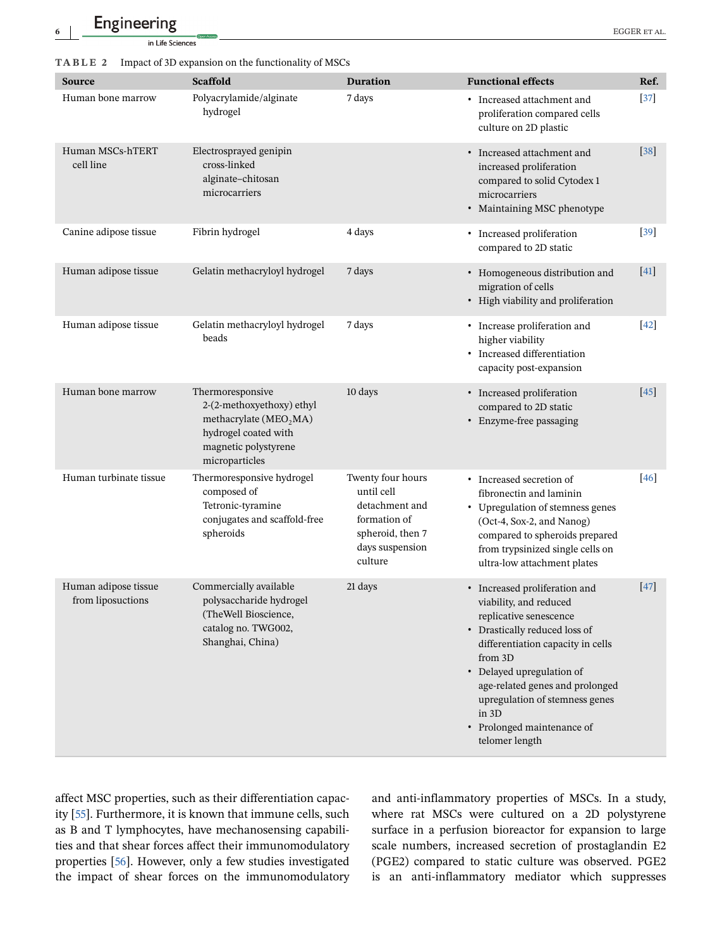## <span id="page-5-0"></span>**6** EGGER et al.

#### **TABLE 2** Impact of 3D expansion on the functionality of MSCs

| <b>Source</b>                             | <b>Scaffold</b>                                                                                                                            | <b>Duration</b>                                                                                                     | <b>Functional effects</b>                                                                                                                                                                                                                                                                                                     | Ref.   |
|-------------------------------------------|--------------------------------------------------------------------------------------------------------------------------------------------|---------------------------------------------------------------------------------------------------------------------|-------------------------------------------------------------------------------------------------------------------------------------------------------------------------------------------------------------------------------------------------------------------------------------------------------------------------------|--------|
| Human bone marrow                         | Polyacrylamide/alginate<br>hydrogel                                                                                                        | 7 days                                                                                                              | • Increased attachment and<br>proliferation compared cells<br>culture on 2D plastic                                                                                                                                                                                                                                           | $[37]$ |
| Human MSCs-hTERT<br>cell line             | Electrosprayed genipin<br>cross-linked<br>alginate-chitosan<br>microcarriers                                                               |                                                                                                                     | • Increased attachment and<br>increased proliferation<br>compared to solid Cytodex 1<br>microcarriers<br>• Maintaining MSC phenotype                                                                                                                                                                                          | $[38]$ |
| Canine adipose tissue                     | Fibrin hydrogel                                                                                                                            | 4 days                                                                                                              | • Increased proliferation<br>compared to 2D static                                                                                                                                                                                                                                                                            | $[39]$ |
| Human adipose tissue                      | Gelatin methacryloyl hydrogel                                                                                                              | 7 days                                                                                                              | • Homogeneous distribution and<br>migration of cells<br>• High viability and proliferation                                                                                                                                                                                                                                    | $[41]$ |
| Human adipose tissue                      | Gelatin methacryloyl hydrogel<br>beads                                                                                                     | 7 days                                                                                                              | • Increase proliferation and<br>higher viability<br>• Increased differentiation<br>capacity post-expansion                                                                                                                                                                                                                    | $[42]$ |
| Human bone marrow                         | Thermoresponsive<br>2-(2-methoxyethoxy) ethyl<br>methacrylate $(MEO2MA)$<br>hydrogel coated with<br>magnetic polystyrene<br>microparticles | 10 days                                                                                                             | • Increased proliferation<br>compared to 2D static<br>• Enzyme-free passaging                                                                                                                                                                                                                                                 | $[45]$ |
| Human turbinate tissue                    | Thermoresponsive hydrogel<br>composed of<br>Tetronic-tyramine<br>conjugates and scaffold-free<br>spheroids                                 | Twenty four hours<br>until cell<br>detachment and<br>formation of<br>spheroid, then 7<br>days suspension<br>culture | • Increased secretion of<br>fibronectin and laminin<br>• Upregulation of stemness genes<br>(Oct-4, Sox-2, and Nanog)<br>compared to spheroids prepared<br>from trypsinized single cells on<br>ultra-low attachment plates                                                                                                     | $[46]$ |
| Human adipose tissue<br>from liposuctions | Commercially available<br>polysaccharide hydrogel<br>(TheWell Bioscience,<br>catalog no. TWG002,<br>Shanghai, China)                       | 21 days                                                                                                             | • Increased proliferation and<br>viability, and reduced<br>replicative senescence<br>• Drastically reduced loss of<br>differentiation capacity in cells<br>from 3D<br>• Delayed upregulation of<br>age-related genes and prolonged<br>upregulation of stemness genes<br>in 3D<br>• Prolonged maintenance of<br>telomer length | $[47]$ |

affect MSC properties, such as their differentiation capacity [\[55\]](#page-10-0). Furthermore, it is known that immune cells, such as B and T lymphocytes, have mechanosensing capabilities and that shear forces affect their immunomodulatory properties [\[56\]](#page-10-0). However, only a few studies investigated the impact of shear forces on the immunomodulatory

and anti-inflammatory properties of MSCs. In a study, where rat MSCs were cultured on a 2D polystyrene surface in a perfusion bioreactor for expansion to large scale numbers, increased secretion of prostaglandin E2 (PGE2) compared to static culture was observed. PGE2 is an anti-inflammatory mediator which suppresses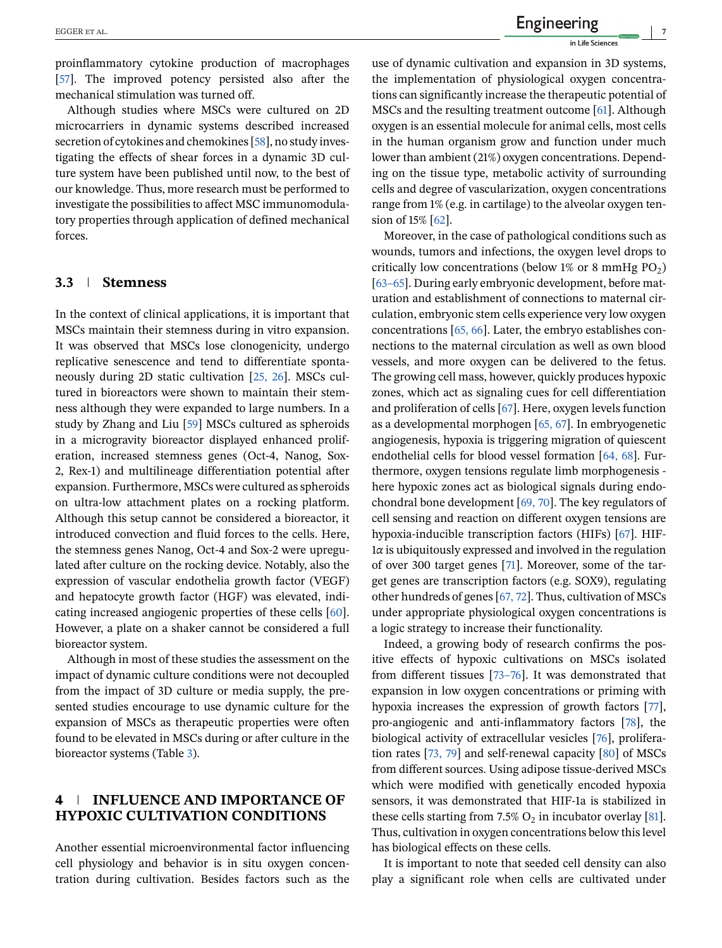proinflammatory cytokine production of macrophages [\[57\]](#page-10-0). The improved potency persisted also after the mechanical stimulation was turned off.

Although studies where MSCs were cultured on 2D microcarriers in dynamic systems described increased secretion of cytokines and chemokines [\[58\]](#page-10-0), no study investigating the effects of shear forces in a dynamic 3D culture system have been published until now, to the best of our knowledge. Thus, more research must be performed to investigate the possibilities to affect MSC immunomodulatory properties through application of defined mechanical forces.

#### **3.3 Stemness**

In the context of clinical applications, it is important that MSCs maintain their stemness during in vitro expansion. It was observed that MSCs lose clonogenicity, undergo replicative senescence and tend to differentiate spontaneously during 2D static cultivation [\[25, 26\]](#page-9-0). MSCs cultured in bioreactors were shown to maintain their stemness although they were expanded to large numbers. In a study by Zhang and Liu [\[59\]](#page-11-0) MSCs cultured as spheroids in a microgravity bioreactor displayed enhanced proliferation, increased stemness genes (Oct-4, Nanog, Sox-2, Rex-1) and multilineage differentiation potential after expansion. Furthermore, MSCs were cultured as spheroids on ultra-low attachment plates on a rocking platform. Although this setup cannot be considered a bioreactor, it introduced convection and fluid forces to the cells. Here, the stemness genes Nanog, Oct-4 and Sox-2 were upregulated after culture on the rocking device. Notably, also the expression of vascular endothelia growth factor (VEGF) and hepatocyte growth factor (HGF) was elevated, indicating increased angiogenic properties of these cells [\[60\]](#page-11-0). However, a plate on a shaker cannot be considered a full bioreactor system.

Although in most of these studies the assessment on the impact of dynamic culture conditions were not decoupled from the impact of 3D culture or media supply, the presented studies encourage to use dynamic culture for the expansion of MSCs as therapeutic properties were often found to be elevated in MSCs during or after culture in the bioreactor systems (Table [3\)](#page-7-0).

## **4 INFLUENCE AND IMPORTANCE OF HYPOXIC CULTIVATION CONDITIONS**

Another essential microenvironmental factor influencing cell physiology and behavior is in situ oxygen concentration during cultivation. Besides factors such as the

use of dynamic cultivation and expansion in 3D systems, the implementation of physiological oxygen concentrations can significantly increase the therapeutic potential of MSCs and the resulting treatment outcome [\[61\]](#page-11-0). Although oxygen is an essential molecule for animal cells, most cells in the human organism grow and function under much lower than ambient (21%) oxygen concentrations. Depending on the tissue type, metabolic activity of surrounding cells and degree of vascularization, oxygen concentrations range from 1% (e.g. in cartilage) to the alveolar oxygen ten-sion of 15% [\[62\]](#page-11-0).

Moreover, in the case of pathological conditions such as wounds, tumors and infections, the oxygen level drops to critically low concentrations (below 1% or 8 mmHg  $PO<sub>2</sub>$ ) [\[63–65\]](#page-11-0). During early embryonic development, before maturation and establishment of connections to maternal circulation, embryonic stem cells experience very low oxygen concentrations [\[65, 66\]](#page-11-0). Later, the embryo establishes connections to the maternal circulation as well as own blood vessels, and more oxygen can be delivered to the fetus. The growing cell mass, however, quickly produces hypoxic zones, which act as signaling cues for cell differentiation and proliferation of cells [\[67\]](#page-11-0). Here, oxygen levels function as a developmental morphogen [\[65, 67\]](#page-11-0). In embryogenetic angiogenesis, hypoxia is triggering migration of quiescent endothelial cells for blood vessel formation [\[64, 68\]](#page-11-0). Furthermore, oxygen tensions regulate limb morphogenesis here hypoxic zones act as biological signals during endochondral bone development [\[69, 70\]](#page-11-0). The key regulators of cell sensing and reaction on different oxygen tensions are hypoxia-inducible transcription factors (HIFs) [\[67\]](#page-11-0). HIF-<sup>1</sup>*α* is ubiquitously expressed and involved in the regulation of over 300 target genes [\[71\]](#page-11-0). Moreover, some of the target genes are transcription factors (e.g. SOX9), regulating other hundreds of genes [\[67, 72\]](#page-11-0). Thus, cultivation of MSCs under appropriate physiological oxygen concentrations is a logic strategy to increase their functionality.

Indeed, a growing body of research confirms the positive effects of hypoxic cultivations on MSCs isolated from different tissues [\[73–76\]](#page-11-0). It was demonstrated that expansion in low oxygen concentrations or priming with hypoxia increases the expression of growth factors [\[77\]](#page-11-0), pro-angiogenic and anti-inflammatory factors [\[78\]](#page-11-0), the biological activity of extracellular vesicles [\[76\]](#page-11-0), proliferation rates [\[73, 79\]](#page-11-0) and self-renewal capacity [\[80\]](#page-11-0) of MSCs from different sources. Using adipose tissue-derived MSCs which were modified with genetically encoded hypoxia sensors, it was demonstrated that HIF-1a is stabilized in these cells starting from 7.5%  $O_2$  in incubator overlay [\[81\]](#page-11-0). Thus, cultivation in oxygen concentrations below this level has biological effects on these cells.

It is important to note that seeded cell density can also play a significant role when cells are cultivated under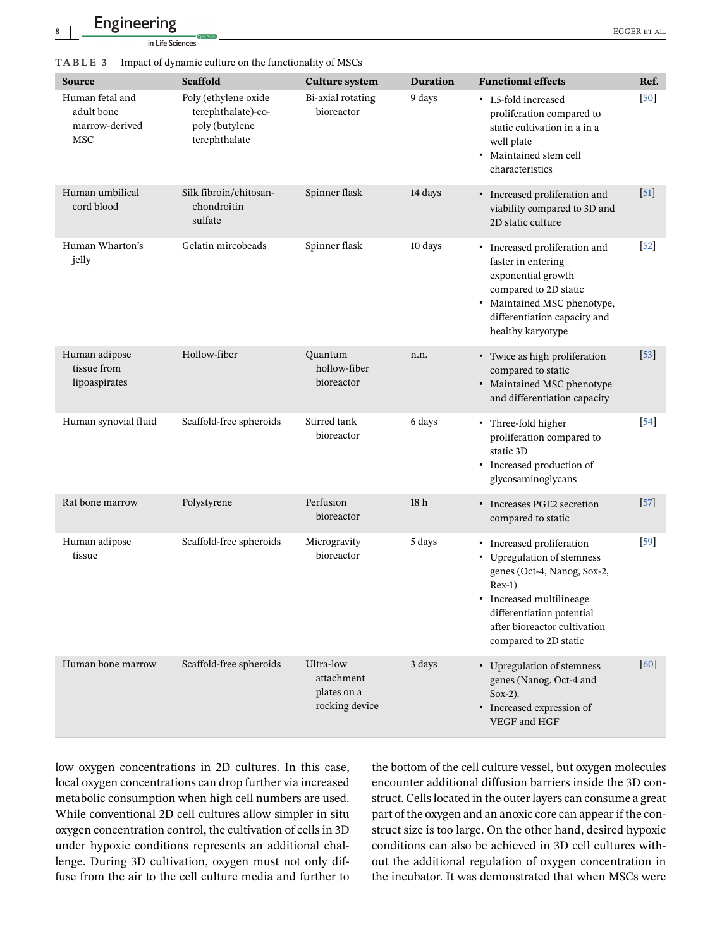**Engineering** EGGER ET AL.

in Life Sciences

<span id="page-7-0"></span>

|  | TABLE 3 |  |  |  | Impact of dynamic culture on the functionality of MSCs |  |  |  |
|--|---------|--|--|--|--------------------------------------------------------|--|--|--|
|--|---------|--|--|--|--------------------------------------------------------|--|--|--|

| <b>Source</b>                                                 | <b>Scaffold</b>                                                               | <b>Culture system</b>                                    | <b>Duration</b> | <b>Functional effects</b>                                                                                                                                                                                            | Ref.              |
|---------------------------------------------------------------|-------------------------------------------------------------------------------|----------------------------------------------------------|-----------------|----------------------------------------------------------------------------------------------------------------------------------------------------------------------------------------------------------------------|-------------------|
| Human fetal and<br>adult bone<br>marrow-derived<br><b>MSC</b> | Poly (ethylene oxide<br>terephthalate)-co-<br>poly (butylene<br>terephthalate | Bi-axial rotating<br>bioreactor                          | 9 days          | • 1.5-fold increased<br>proliferation compared to<br>static cultivation in a in a<br>well plate<br>· Maintained stem cell<br>characteristics                                                                         | $[50]$            |
| Human umbilical<br>cord blood                                 | Silk fibroin/chitosan-<br>chondroitin<br>sulfate                              | Spinner flask                                            | 14 days         | • Increased proliferation and<br>viability compared to 3D and<br>2D static culture                                                                                                                                   | $[51]$            |
| Human Wharton's<br>jelly                                      | Gelatin mircobeads                                                            | Spinner flask                                            | 10 days         | • Increased proliferation and<br>faster in entering<br>exponential growth<br>compared to 2D static<br>• Maintained MSC phenotype,<br>differentiation capacity and<br>healthy karyotype                               | $[52]$            |
| Human adipose<br>tissue from<br>lipoaspirates                 | Hollow-fiber                                                                  | Quantum<br>hollow-fiber<br>bioreactor                    | n.n.            | • Twice as high proliferation<br>compared to static<br>• Maintained MSC phenotype<br>and differentiation capacity                                                                                                    | $[53]$            |
| Human synovial fluid                                          | Scaffold-free spheroids                                                       | Stirred tank<br>bioreactor                               | 6 days          | • Three-fold higher<br>proliferation compared to<br>static 3D<br>• Increased production of<br>glycosaminoglycans                                                                                                     | $[54]$            |
| Rat bone marrow                                               | Polystyrene                                                                   | Perfusion<br>bioreactor                                  | 18 <sub>h</sub> | • Increases PGE2 secretion<br>compared to static                                                                                                                                                                     | $[57]$            |
| Human adipose<br>tissue                                       | Scaffold-free spheroids                                                       | Microgravity<br>bioreactor                               | 5 days          | • Increased proliferation<br>• Upregulation of stemness<br>genes (Oct-4, Nanog, Sox-2,<br>$Rex-1)$<br>• Increased multilineage<br>differentiation potential<br>after bioreactor cultivation<br>compared to 2D static | $\left[59\right]$ |
| Human bone marrow                                             | Scaffold-free spheroids                                                       | Ultra-low<br>attachment<br>plates on a<br>rocking device | 3 days          | • Upregulation of stemness<br>genes (Nanog, Oct-4 and<br>$Sox-2$ ).<br>• Increased expression of<br>VEGF and HGF                                                                                                     | [60]              |

low oxygen concentrations in 2D cultures. In this case, local oxygen concentrations can drop further via increased metabolic consumption when high cell numbers are used. While conventional 2D cell cultures allow simpler in situ oxygen concentration control, the cultivation of cells in 3D under hypoxic conditions represents an additional challenge. During 3D cultivation, oxygen must not only diffuse from the air to the cell culture media and further to

the bottom of the cell culture vessel, but oxygen molecules encounter additional diffusion barriers inside the 3D construct. Cells located in the outer layers can consume a great part of the oxygen and an anoxic core can appear if the construct size is too large. On the other hand, desired hypoxic conditions can also be achieved in 3D cell cultures without the additional regulation of oxygen concentration in the incubator. It was demonstrated that when MSCs were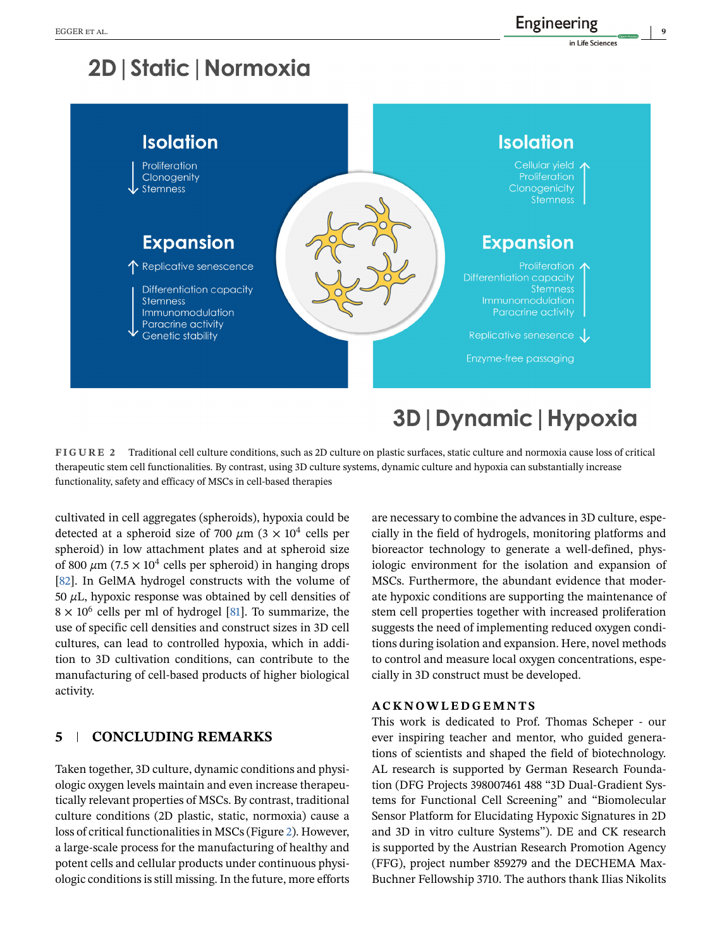# 2D | Static | Normoxia



## **FIGURE 2** Traditional cell culture conditions, such as 2D culture on plastic surfaces, static culture and normoxia cause loss of critical therapeutic stem cell functionalities. By contrast, using 3D culture systems, dynamic culture and hypoxia can substantially increase

functionality, safety and efficacy of MSCs in cell-based therapies

cultivated in cell aggregates (spheroids), hypoxia could be detected at a spheroid size of 700  $\mu$ m (3  $\times$  10<sup>4</sup> cells per spheroid) in low attachment plates and at spheroid size of 800  $\mu$ m (7.5  $\times$  10<sup>4</sup> cells per spheroid) in hanging drops [\[82\]](#page-11-0). In GelMA hydrogel constructs with the volume of <sup>50</sup> *μ*L, hypoxic response was obtained by cell densities of  $8 \times 10^6$  cells per ml of hydrogel [\[81\]](#page-11-0). To summarize, the use of specific cell densities and construct sizes in 3D cell cultures, can lead to controlled hypoxia, which in addition to 3D cultivation conditions, can contribute to the manufacturing of cell-based products of higher biological activity.

## **5 CONCLUDING REMARKS**

Taken together, 3D culture, dynamic conditions and physiologic oxygen levels maintain and even increase therapeutically relevant properties of MSCs. By contrast, traditional culture conditions (2D plastic, static, normoxia) cause a loss of critical functionalities in MSCs (Figure 2). However, a large-scale process for the manufacturing of healthy and potent cells and cellular products under continuous physiologic conditions is still missing. In the future, more efforts

are necessary to combine the advances in 3D culture, especially in the field of hydrogels, monitoring platforms and bioreactor technology to generate a well-defined, physiologic environment for the isolation and expansion of MSCs. Furthermore, the abundant evidence that moderate hypoxic conditions are supporting the maintenance of stem cell properties together with increased proliferation suggests the need of implementing reduced oxygen conditions during isolation and expansion. Here, novel methods to control and measure local oxygen concentrations, especially in 3D construct must be developed.

#### **ACKNOWLEDGEMNTS**

This work is dedicated to Prof. Thomas Scheper - our ever inspiring teacher and mentor, who guided generations of scientists and shaped the field of biotechnology. AL research is supported by German Research Foundation (DFG Projects 398007461 488 "3D Dual-Gradient Systems for Functional Cell Screening" and "Biomolecular Sensor Platform for Elucidating Hypoxic Signatures in 2D and 3D in vitro culture Systems"). DE and CK research is supported by the Austrian Research Promotion Agency (FFG), project number 859279 and the DECHEMA Max-Buchner Fellowship 3710. The authors thank Ilias Nikolits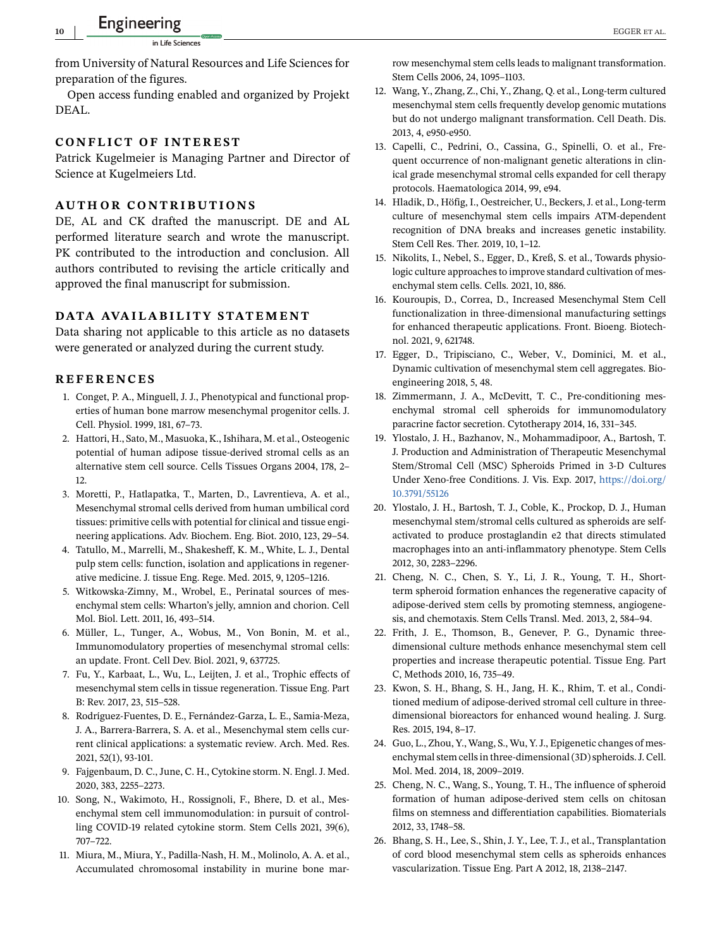<span id="page-9-0"></span>from University of Natural Resources and Life Sciences for preparation of the figures.

Open access funding enabled and organized by Projekt DEAL.

#### **CONFLICT OF INTEREST**

Patrick Kugelmeier is Managing Partner and Director of Science at Kugelmeiers Ltd.

#### **AUTHOR CONTRIBUTIONS**

DE, AL and CK drafted the manuscript. DE and AL performed literature search and wrote the manuscript. PK contributed to the introduction and conclusion. All authors contributed to revising the article critically and approved the final manuscript for submission.

#### **DATA AVAILABILITY STATEMENT**

Data sharing not applicable to this article as no datasets were generated or analyzed during the current study.

#### **REFERENCES**

- 1. Conget, P. A., Minguell, J. J., Phenotypical and functional properties of human bone marrow mesenchymal progenitor cells. J. Cell. Physiol. 1999, 181, 67–73.
- 2. Hattori, H., Sato, M., Masuoka, K., Ishihara, M. et al., Osteogenic potential of human adipose tissue-derived stromal cells as an alternative stem cell source. Cells Tissues Organs 2004, 178, 2– 12.
- 3. Moretti, P., Hatlapatka, T., Marten, D., Lavrentieva, A. et al., Mesenchymal stromal cells derived from human umbilical cord tissues: primitive cells with potential for clinical and tissue engineering applications. Adv. Biochem. Eng. Biot. 2010, 123, 29–54.
- 4. Tatullo, M., Marrelli, M., Shakesheff, K. M., White, L. J., Dental pulp stem cells: function, isolation and applications in regenerative medicine. J. tissue Eng. Rege. Med. 2015, 9, 1205–1216.
- 5. Witkowska-Zimny, M., Wrobel, E., Perinatal sources of mesenchymal stem cells: Wharton's jelly, amnion and chorion. Cell Mol. Biol. Lett. 2011, 16, 493–514.
- 6. Müller, L., Tunger, A., Wobus, M., Von Bonin, M. et al., Immunomodulatory properties of mesenchymal stromal cells: an update. Front. Cell Dev. Biol. 2021, 9, 637725.
- 7. Fu, Y., Karbaat, L., Wu, L., Leijten, J. et al., Trophic effects of mesenchymal stem cells in tissue regeneration. Tissue Eng. Part B: Rev. 2017, 23, 515–528.
- 8. Rodríguez-Fuentes, D. E., Fernández-Garza, L. E., Samia-Meza, J. A., Barrera-Barrera, S. A. et al., Mesenchymal stem cells current clinical applications: a systematic review. Arch. Med. Res. 2021, 52(1), 93-101.
- 9. Fajgenbaum, D. C., June, C. H., Cytokine storm. N. Engl. J. Med. 2020, 383, 2255–2273.
- 10. Song, N., Wakimoto, H., Rossignoli, F., Bhere, D. et al., Mesenchymal stem cell immunomodulation: in pursuit of controlling COVID-19 related cytokine storm. Stem Cells 2021, 39(6), 707–722.
- 11. Miura, M., Miura, Y., Padilla-Nash, H. M., Molinolo, A. A. et al., Accumulated chromosomal instability in murine bone mar-

row mesenchymal stem cells leads to malignant transformation. Stem Cells 2006, 24, 1095–1103.

- 12. Wang, Y., Zhang, Z., Chi, Y., Zhang, Q. et al., Long-term cultured mesenchymal stem cells frequently develop genomic mutations but do not undergo malignant transformation. Cell Death. Dis. 2013, 4, e950-e950.
- 13. Capelli, C., Pedrini, O., Cassina, G., Spinelli, O. et al., Frequent occurrence of non-malignant genetic alterations in clinical grade mesenchymal stromal cells expanded for cell therapy protocols. Haematologica 2014, 99, e94.
- 14. Hladik, D., Höfig, I., Oestreicher, U., Beckers, J. et al., Long-term culture of mesenchymal stem cells impairs ATM-dependent recognition of DNA breaks and increases genetic instability. Stem Cell Res. Ther. 2019, 10, 1–12.
- 15. Nikolits, I., Nebel, S., Egger, D., Kreß, S. et al., Towards physiologic culture approaches to improve standard cultivation of mesenchymal stem cells. Cells. 2021, 10, 886.
- 16. Kouroupis, D., Correa, D., Increased Mesenchymal Stem Cell functionalization in three-dimensional manufacturing settings for enhanced therapeutic applications. Front. Bioeng. Biotechnol. 2021, 9, 621748.
- 17. Egger, D., Tripisciano, C., Weber, V., Dominici, M. et al., Dynamic cultivation of mesenchymal stem cell aggregates. Bioengineering 2018, 5, 48.
- 18. Zimmermann, J. A., McDevitt, T. C., Pre-conditioning mesenchymal stromal cell spheroids for immunomodulatory paracrine factor secretion. Cytotherapy 2014, 16, 331–345.
- 19. Ylostalo, J. H., Bazhanov, N., Mohammadipoor, A., Bartosh, T. J. Production and Administration of Therapeutic Mesenchymal Stem/Stromal Cell (MSC) Spheroids Primed in 3-D Cultures Under Xeno-free Conditions. J. Vis. Exp. 2017, [https://doi.org/](https://doi.org/10.3791/55126) [10.3791/55126](https://doi.org/10.3791/55126)
- 20. Ylostalo, J. H., Bartosh, T. J., Coble, K., Prockop, D. J., Human mesenchymal stem/stromal cells cultured as spheroids are selfactivated to produce prostaglandin e2 that directs stimulated macrophages into an anti-inflammatory phenotype. Stem Cells 2012, 30, 2283–2296.
- 21. Cheng, N. C., Chen, S. Y., Li, J. R., Young, T. H., Shortterm spheroid formation enhances the regenerative capacity of adipose-derived stem cells by promoting stemness, angiogenesis, and chemotaxis. Stem Cells Transl. Med. 2013, 2, 584–94.
- 22. Frith, J. E., Thomson, B., Genever, P. G., Dynamic threedimensional culture methods enhance mesenchymal stem cell properties and increase therapeutic potential. Tissue Eng. Part C, Methods 2010, 16, 735–49.
- 23. Kwon, S. H., Bhang, S. H., Jang, H. K., Rhim, T. et al., Conditioned medium of adipose-derived stromal cell culture in threedimensional bioreactors for enhanced wound healing. J. Surg. Res. 2015, 194, 8–17.
- 24. Guo, L., Zhou, Y., Wang, S., Wu, Y. J., Epigenetic changes of mesenchymal stem cells in three-dimensional (3D) spheroids. J. Cell. Mol. Med. 2014, 18, 2009–2019.
- 25. Cheng, N. C., Wang, S., Young, T. H., The influence of spheroid formation of human adipose-derived stem cells on chitosan films on stemness and differentiation capabilities. Biomaterials 2012, 33, 1748–58.
- 26. Bhang, S. H., Lee, S., Shin, J. Y., Lee, T. J., et al., Transplantation of cord blood mesenchymal stem cells as spheroids enhances vascularization. Tissue Eng. Part A 2012, 18, 2138–2147.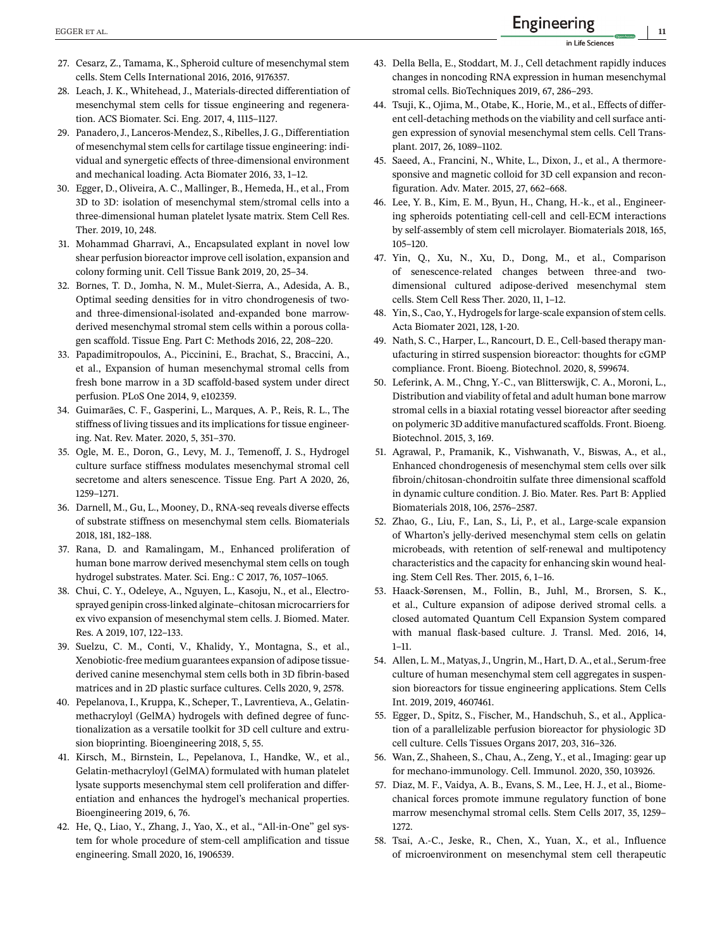- <span id="page-10-0"></span>27. Cesarz, Z., Tamama, K., Spheroid culture of mesenchymal stem cells. Stem Cells International 2016, 2016, 9176357.
- 28. Leach, J. K., Whitehead, J., Materials-directed differentiation of mesenchymal stem cells for tissue engineering and regeneration. ACS Biomater. Sci. Eng. 2017, 4, 1115–1127.
- 29. Panadero, J., Lanceros-Mendez, S., Ribelles, J. G., Differentiation of mesenchymal stem cells for cartilage tissue engineering: individual and synergetic effects of three-dimensional environment and mechanical loading. Acta Biomater 2016, 33, 1–12.
- 30. Egger, D., Oliveira, A. C., Mallinger, B., Hemeda, H., et al., From 3D to 3D: isolation of mesenchymal stem/stromal cells into a three-dimensional human platelet lysate matrix. Stem Cell Res. Ther. 2019, 10, 248.
- 31. Mohammad Gharravi, A., Encapsulated explant in novel low shear perfusion bioreactor improve cell isolation, expansion and colony forming unit. Cell Tissue Bank 2019, 20, 25–34.
- 32. Bornes, T. D., Jomha, N. M., Mulet-Sierra, A., Adesida, A. B., Optimal seeding densities for in vitro chondrogenesis of twoand three-dimensional-isolated and-expanded bone marrowderived mesenchymal stromal stem cells within a porous collagen scaffold. Tissue Eng. Part C: Methods 2016, 22, 208–220.
- 33. Papadimitropoulos, A., Piccinini, E., Brachat, S., Braccini, A., et al., Expansion of human mesenchymal stromal cells from fresh bone marrow in a 3D scaffold-based system under direct perfusion. PLoS One 2014, 9, e102359.
- 34. Guimarães, C. F., Gasperini, L., Marques, A. P., Reis, R. L., The stiffness of living tissues and its implications for tissue engineering. Nat. Rev. Mater. 2020, 5, 351–370.
- 35. Ogle, M. E., Doron, G., Levy, M. J., Temenoff, J. S., Hydrogel culture surface stiffness modulates mesenchymal stromal cell secretome and alters senescence. Tissue Eng. Part A 2020, 26, 1259–1271.
- 36. Darnell, M., Gu, L., Mooney, D., RNA-seq reveals diverse effects of substrate stiffness on mesenchymal stem cells. Biomaterials 2018, 181, 182–188.
- 37. Rana, D. and Ramalingam, M., Enhanced proliferation of human bone marrow derived mesenchymal stem cells on tough hydrogel substrates. Mater. Sci. Eng.: C 2017, 76, 1057–1065.
- 38. Chui, C. Y., Odeleye, A., Nguyen, L., Kasoju, N., et al., Electrosprayed genipin cross-linked alginate–chitosan microcarriers for ex vivo expansion of mesenchymal stem cells. J. Biomed. Mater. Res. A 2019, 107, 122–133.
- 39. Suelzu, C. M., Conti, V., Khalidy, Y., Montagna, S., et al., Xenobiotic-free medium guarantees expansion of adipose tissuederived canine mesenchymal stem cells both in 3D fibrin-based matrices and in 2D plastic surface cultures. Cells 2020, 9, 2578.
- 40. Pepelanova, I., Kruppa, K., Scheper, T., Lavrentieva, A., Gelatinmethacryloyl (GelMA) hydrogels with defined degree of functionalization as a versatile toolkit for 3D cell culture and extrusion bioprinting. Bioengineering 2018, 5, 55.
- 41. Kirsch, M., Birnstein, L., Pepelanova, I., Handke, W., et al., Gelatin-methacryloyl (GelMA) formulated with human platelet lysate supports mesenchymal stem cell proliferation and differentiation and enhances the hydrogel's mechanical properties. Bioengineering 2019, 6, 76.
- 42. He, Q., Liao, Y., Zhang, J., Yao, X., et al., "All-in-One" gel system for whole procedure of stem-cell amplification and tissue engineering. Small 2020, 16, 1906539.
- 43. Della Bella, E., Stoddart, M. J., Cell detachment rapidly induces changes in noncoding RNA expression in human mesenchymal stromal cells. BioTechniques 2019, 67, 286–293.
- 44. Tsuji, K., Ojima, M., Otabe, K., Horie, M., et al., Effects of different cell-detaching methods on the viability and cell surface antigen expression of synovial mesenchymal stem cells. Cell Transplant. 2017, 26, 1089–1102.
- 45. Saeed, A., Francini, N., White, L., Dixon, J., et al., A thermoresponsive and magnetic colloid for 3D cell expansion and reconfiguration. Adv. Mater. 2015, 27, 662–668.
- 46. Lee, Y. B., Kim, E. M., Byun, H., Chang, H.-k., et al., Engineering spheroids potentiating cell-cell and cell-ECM interactions by self-assembly of stem cell microlayer. Biomaterials 2018, 165, 105–120.
- 47. Yin, Q., Xu, N., Xu, D., Dong, M., et al., Comparison of senescence-related changes between three-and twodimensional cultured adipose-derived mesenchymal stem cells. Stem Cell Ress Ther. 2020, 11, 1–12.
- 48. Yin, S., Cao, Y., Hydrogels for large-scale expansion of stem cells. Acta Biomater 2021, 128, 1-20.
- 49. Nath, S. C., Harper, L., Rancourt, D. E., Cell-based therapy manufacturing in stirred suspension bioreactor: thoughts for cGMP compliance. Front. Bioeng. Biotechnol. 2020, 8, 599674.
- 50. Leferink, A. M., Chng, Y.-C., van Blitterswijk, C. A., Moroni, L., Distribution and viability of fetal and adult human bone marrow stromal cells in a biaxial rotating vessel bioreactor after seeding on polymeric 3D additive manufactured scaffolds. Front. Bioeng. Biotechnol. 2015, 3, 169.
- 51. Agrawal, P., Pramanik, K., Vishwanath, V., Biswas, A., et al., Enhanced chondrogenesis of mesenchymal stem cells over silk fibroin/chitosan-chondroitin sulfate three dimensional scaffold in dynamic culture condition. J. Bio. Mater. Res. Part B: Applied Biomaterials 2018, 106, 2576–2587.
- 52. Zhao, G., Liu, F., Lan, S., Li, P., et al., Large-scale expansion of Wharton's jelly-derived mesenchymal stem cells on gelatin microbeads, with retention of self-renewal and multipotency characteristics and the capacity for enhancing skin wound healing. Stem Cell Res. Ther. 2015, 6, 1–16.
- 53. Haack-Sørensen, M., Follin, B., Juhl, M., Brorsen, S. K., et al., Culture expansion of adipose derived stromal cells. a closed automated Quantum Cell Expansion System compared with manual flask-based culture. J. Transl. Med. 2016, 14, 1–11.
- 54. Allen, L. M., Matyas, J., Ungrin, M., Hart, D. A., et al., Serum-free culture of human mesenchymal stem cell aggregates in suspension bioreactors for tissue engineering applications. Stem Cells Int. 2019, 2019, 4607461.
- 55. Egger, D., Spitz, S., Fischer, M., Handschuh, S., et al., Application of a parallelizable perfusion bioreactor for physiologic 3D cell culture. Cells Tissues Organs 2017, 203, 316–326.
- 56. Wan, Z., Shaheen, S., Chau, A., Zeng, Y., et al., Imaging: gear up for mechano-immunology. Cell. Immunol. 2020, 350, 103926.
- 57. Diaz, M. F., Vaidya, A. B., Evans, S. M., Lee, H. J., et al., Biomechanical forces promote immune regulatory function of bone marrow mesenchymal stromal cells. Stem Cells 2017, 35, 1259– 1272.
- 58. Tsai, A.-C., Jeske, R., Chen, X., Yuan, X., et al., Influence of microenvironment on mesenchymal stem cell therapeutic